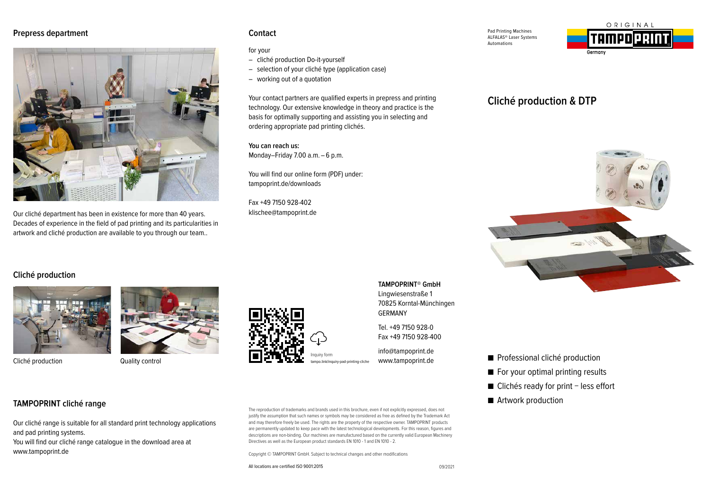### **Prepress department**



Our cliché department has been in existence for more than 40 years. Decades of experience in the field of pad printing and its particularities in artwork and cliché production are available to you through our team..

### **Contact**

#### for your

- cliché production Do-it-yourself
- selection of your cliché type (application case)
- working out of a quotation

Your contact partners are qualified experts in prepress and printing technology. Our extensive knowledge in theory and practice is the basis for optimally supporting and assisting you in selecting and ordering appropriate pad printing clichés.

**You can reach us:** Monday–Friday 7.00 a.m. – 6 p.m.

You will find our online form (PDF) under: tampoprint.de/downloads

Fax +49 7150 928-402 klischee@tampoprint.de Pad Printing Machines ALFALAS® Laser Systems Automations



# **Cliché production & DTP**



# **Cliché production**



Cliché production **Quality control** 





**TAMPOPRINT® GmbH**  Lingwiesenstraße 1 70825 Korntal-Münchingen GERMANY

Tel. +49 7150 928-0 Fax +49 7150 928-400

info@tampoprint.de www.tampoprint.de

■ Professional cliché production

- For your optimal printing results
- Clichés ready for print less effort
- Artwork production

**TAMPOPRINT cliché range**

Our cliché range is suitable for all standard print technology applications and pad printing systems.

You will find our cliché range catalogue in the download area at www.tampoprint.de

The reproduction of trademarks and brands used in this brochure, even if not explicitly expressed, does not justify the assumption that such names or symbols may be considered as free as defined by the Trademark Act and may therefore freely be used. The rights are the property of the respective owner. TAMPOPRINT products are permanently updated to keep pace with the latest technological developments. For this reason, figures and descriptions are non-binding. Our machines are manufactured based on the currently valid European Machinery Directives as well as the European product standards EN 1010 - 1 and EN 1010 - 2.

Copyright © TAMPOPRINT GmbH. Subject to technical changes and other modifications

All locations are certified ISO 9001:2015